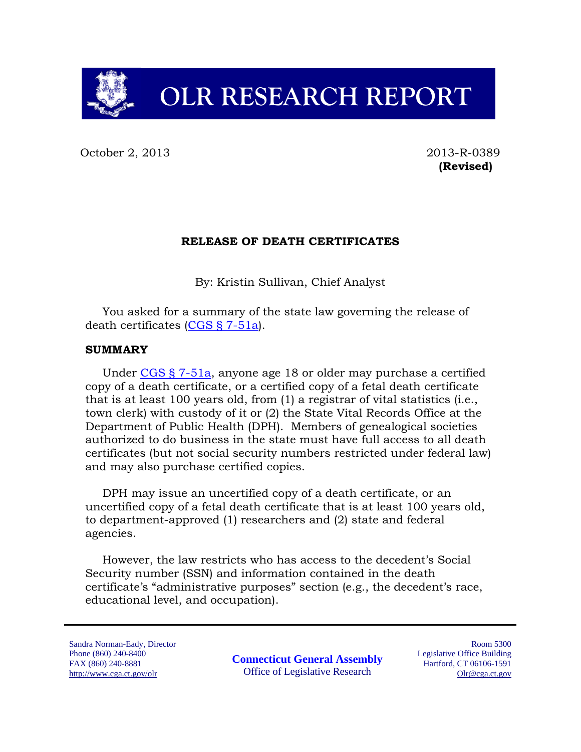# **OLR RESEARCH REPORT**

October 2, 2013 2013-R-0389

**(Revised)**

#### **RELEASE OF DEATH CERTIFICATES**

By: Kristin Sullivan, Chief Analyst

You asked for a summary of the state law governing the release of death certificates [\(CGS § 7-51a\)](http://cga.ct.gov/current/pub/chap_093.htm#sec_7-51a).

## **SUMMARY**

Under [CGS § 7-51a,](http://cga.ct.gov/current/pub/chap_093.htm#sec_7-51a) anyone age 18 or older may purchase a certified copy of a death certificate, or a certified copy of a fetal death certificate that is at least 100 years old, from (1) a registrar of vital statistics (i.e., town clerk) with custody of it or (2) the State Vital Records Office at the Department of Public Health (DPH). Members of genealogical societies authorized to do business in the state must have full access to all death certificates (but not social security numbers restricted under federal law) and may also purchase certified copies.

DPH may issue an uncertified copy of a death certificate, or an uncertified copy of a fetal death certificate that is at least 100 years old, to department-approved (1) researchers and (2) state and federal agencies.

However, the law restricts who has access to the decedent's Social Security number (SSN) and information contained in the death certificate's "administrative purposes" section (e.g., the decedent's race, educational level, and occupation).

Sandra Norman-Eady, Director Phone (860) 240-8400 FAX (860) 240-8881 http://www.cga.ct.gov/olr

**Connecticut General Assembly** Office of Legislative Research

Room 5300 Legislative Office Building Hartford, CT 06106-1591 Olr@cga.ct.gov